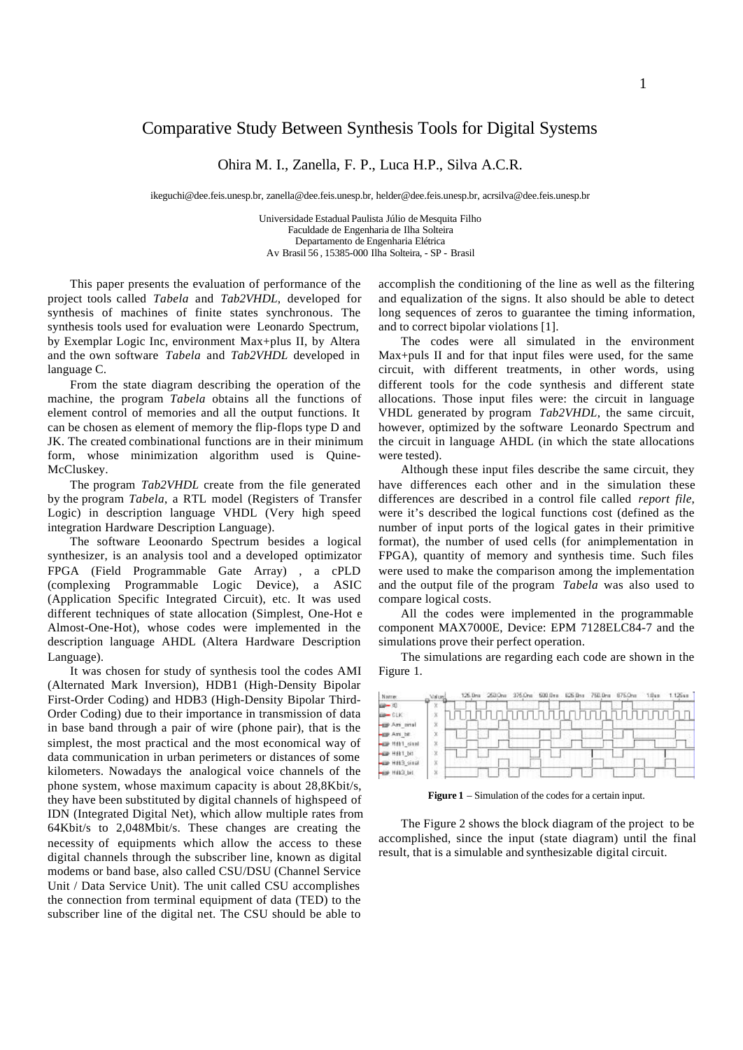## 1

# Comparative Study Between Synthesis Tools for Digital Systems

Ohira M. I., Zanella, F. P., Luca H.P., Silva A.C.R.

ikeguchi@dee.feis.unesp.br, zanella@dee.feis.unesp.br, helder@dee.feis.unesp.br, acrsilva@dee.feis.unesp.br

Universidade Estadual Paulista Júlio de Mesquita Filho Faculdade de Engenharia de Ilha Solteira Departamento de Engenharia Elétrica Av Brasil 56 , 15385-000 Ilha Solteira, - SP - Brasil

This paper presents the evaluation of performance of the project tools called *Tabela* and *Tab2VHDL*, developed for synthesis of machines of finite states synchronous. The synthesis tools used for evaluation were Leonardo Spectrum, by Exemplar Logic Inc, environment Max+plus II, by Altera and the own software *Tabela* and *Tab2VHDL* developed in language C.

From the state diagram describing the operation of the machine, the program *Tabela* obtains all the functions of element control of memories and all the output functions. It can be chosen as element of memory the flip-flops type D and JK. The created combinational functions are in their minimum form, whose minimization algorithm used is Quine-McCluskey.

The program *Tab2VHDL* create from the file generated by the program *Tabela*, a RTL model (Registers of Transfer Logic) in description language VHDL (Very high speed integration Hardware Description Language).

The software Leoonardo Spectrum besides a logical synthesizer, is an analysis tool and a developed optimizator FPGA (Field Programmable Gate Array) , a cPLD (complexing Programmable Logic Device), a ASIC (Application Specific Integrated Circuit), etc. It was used different techniques of state allocation (Simplest, One-Hot e Almost-One-Hot), whose codes were implemented in the description language AHDL (Altera Hardware Description Language).

It was chosen for study of synthesis tool the codes AMI (Alternated Mark Inversion), HDB1 (High-Density Bipolar First-Order Coding) and HDB3 (High-Density Bipolar Third-Order Coding) due to their importance in transmission of data in base band through a pair of wire (phone pair), that is the simplest, the most practical and the most economical way of data communication in urban perimeters or distances of some kilometers. Nowadays the analogical voice channels of the phone system, whose maximum capacity is about 28,8Kbit/s, they have been substituted by digital channels of highspeed of IDN (Integrated Digital Net), which allow multiple rates from 64Kbit/s to 2,048Mbit/s. These changes are creating the necessity of equipments which allow the access to these digital channels through the subscriber line, known as digital modems or band base, also called CSU/DSU (Channel Service Unit / Data Service Unit). The unit called CSU accomplishes the connection from terminal equipment of data (TED) to the subscriber line of the digital net. The CSU should be able to

accomplish the conditioning of the line as well as the filtering and equalization of the signs. It also should be able to detect long sequences of zeros to guarantee the timing information, and to correct bipolar violations [1].

The codes were all simulated in the environment Max+puls II and for that input files were used, for the same circuit, with different treatments, in other words, using different tools for the code synthesis and different state allocations. Those input files were: the circuit in language VHDL generated by program *Tab2VHDL*, the same circuit, however, optimized by the software Leonardo Spectrum and the circuit in language AHDL (in which the state allocations were tested).

Although these input files describe the same circuit, they have differences each other and in the simulation these differences are described in a control file called *report file*, were it's described the logical functions cost (defined as the number of input ports of the logical gates in their primitive format), the number of used cells (for animplementation in FPGA), quantity of memory and synthesis time. Such files were used to make the comparison among the implementation and the output file of the program *Tabela* was also used to compare logical costs.

All the codes were implemented in the programmable component MAX7000E, Device: EPM 7128ELC84-7 and the simulations prove their perfect operation.

The simulations are regarding each code are shown in the Figure 1.



**Figure 1** – Simulation of the codes for a certain input.

The Figure 2 shows the block diagram of the project to be accomplished, since the input (state diagram) until the final result, that is a simulable and synthesizable digital circuit.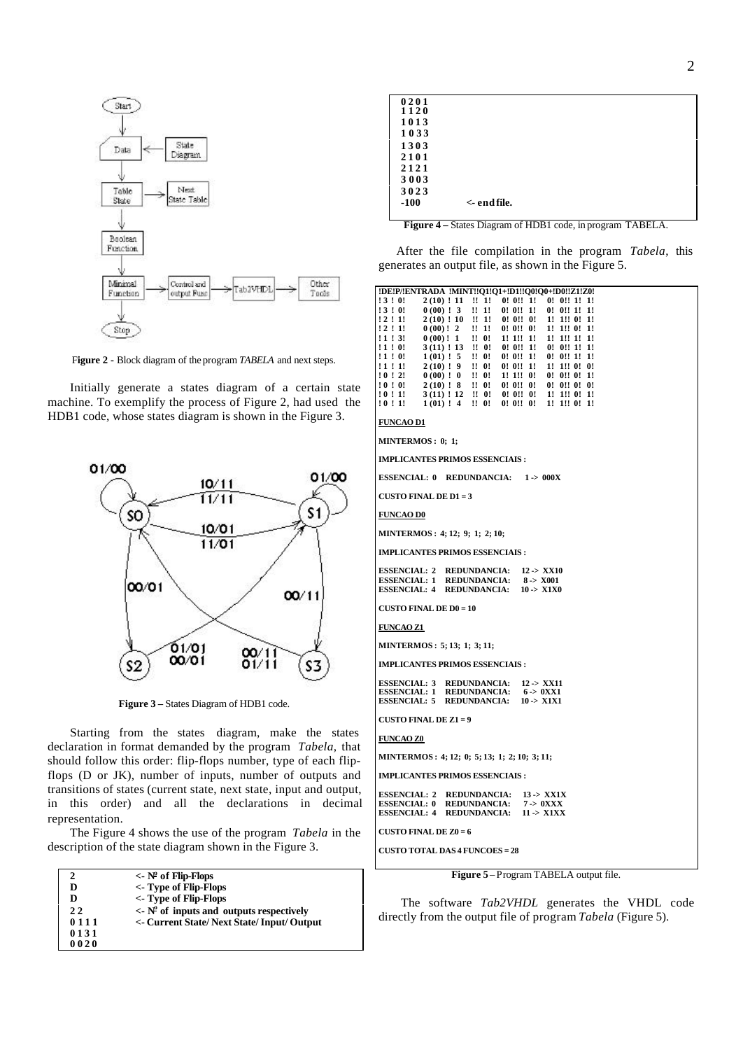

F**igure 2 -** Block diagram of the program *TABELA* and next steps.

Initially generate a states diagram of a certain state machine. To exemplify the process of Figure 2, had used the HDB1 code, whose states diagram is shown in the Figure 3.



**Figure 3 –** States Diagram of HDB1 code.

Starting from the states diagram, make the states declaration in format demanded by the program *Tabela*, that should follow this order: flip-flops number, type of each flipflops (D or JK), number of inputs, number of outputs and transitions of states (current state, next state, input and output, in this order) and all the declarations in decimal representation.

The Figure 4 shows the use of the program *Tabela* in the description of the state diagram shown in the Figure 3.

| 2    | $\langle \cdot \rangle$ N° of Flip-Flops                      |
|------|---------------------------------------------------------------|
| D    | <- Type of Flip-Flops                                         |
| D    | <- Type of Flip-Flops                                         |
| 22   | $\langle \cdot \rangle$ N° of inputs and outputs respectively |
| 0111 | <- Current State/Next State/Input/Output                      |
| 0131 |                                                               |
| 0020 |                                                               |

| 0201   |                        |  |  |
|--------|------------------------|--|--|
| 1120   |                        |  |  |
| 1013   |                        |  |  |
| 1033   |                        |  |  |
| 1303   |                        |  |  |
| 2101   |                        |  |  |
| 2121   |                        |  |  |
| 3003   |                        |  |  |
| 3023   |                        |  |  |
| $-100$ | $\leftarrow$ end file. |  |  |
|        |                        |  |  |

**Figure 4 –** States Diagram of HDB1 code, in program TABELA.

After the file compilation in the program *Tabela*, this generates an output file, as shown in the Figure 5.

|          |              |                 |                | !DE!P/!ENTRADA !MINT!!01!01+!D1!!00!00+!D0!!Z1!Z0! |
|----------|--------------|-----------------|----------------|----------------------------------------------------|
| ! 3 ! 0! | $2(10)$ ! 11 | . !! 1!         | 0!0!!1!        | $0!$ $0!$ $1!$ $1!$                                |
| ! 3 ! 0! | $0(00)$ ! 3  | !! 1!           | $0!$ $0!$ : 1! | $0!$ $0!$ $1!$ $1!$                                |
| ! 2 ! 1! | 2(10): 10    | $!!$ 1!         | 0!0!10!        | 1! 1!! 0! 1!                                       |
| ! 2 ! 1! | $0(00)!$ 2   | $!!$ 1!         | 0!0!!0!        | 1! 1!! 0! 1!                                       |
| ! 1 ! 3! | $0(00)!$ 1   | $\mathbf{H}$ 0! | 1!1!1!1!       | 1! 1!! 1! 1!                                       |
| ! 1 ! 0! | 3(11): 13    | $\mathbf{H}$ 0! | 0!0!1!1!       | $0!$ $0!$ $1!$ $1!$                                |
| ! 1 ! 0! | 1(01): 5     | $\mathbf{H}$ 0! | 0!0!!1!        | $0!$ $0!$ $1!$ $1!$                                |
| ! 1 ! 1! | 2(10): 9     | $\mathbf{H}$ 0! | 0!0!!1!        | $1!$ $1!$ $0!$ $0!$                                |
| 10:21    | $0(00)$ ! 0  | $\mathbf{H}$ 0! | 1!1!0!         | $0!$ $0!$ $0!$ $1!$                                |
| :0:0:    | 2(10): 8     | $\mathbf{H}$ 0! | 0!0!!0!        | $0!$ $0!$ $0!$ $0!$ $0!$                           |
| ! 0 ! 1! | 3(11): 12    | 1! 0!           | 0!0!10!        | $1!$ $1!$ $0!$ $1!$                                |
| ! 0 ! 1! | 1(01): 4     | $\mathbf{H}$ 0! | 0!0!!0!        | 1! 1!! 0! 1!                                       |

#### **FUNCAO D1**

```
MINTERMOS : 0; 1;
```
**IMPLICANTES PRIMOS ESSENCIAIS :**

```
ESSENCIAL: 0 REDUNDANCIA: 1 -> 000X
```
**CUSTO FINAL DE D1 = 3**

### **FUNCAO D0**

**MINTERMOS : 4; 12; 9; 1; 2; 10;**

**IMPLICANTES PRIMOS ESSENCIAIS :**

| <b>ESSENCIAL: 2</b> | REDUNDANCIA:        | 12 > XX10             |
|---------------------|---------------------|-----------------------|
| <b>ESSENCIAL: 1</b> | <b>REDUNDANCIA:</b> | 8 > X001              |
| <b>ESSENCIAL: 4</b> | <b>REDUNDANCIA:</b> | $10 \rightarrow X1X0$ |

#### **CUSTO FINAL DE D0 = 10**

#### **FUNCAO Z1**

**MINTERMOS : 5; 13; 1; 3; 11;**

**IMPLICANTES PRIMOS ESSENCIAIS :**

| <b>ESSENCIAL: 3</b> | <b>REDUNDANCIA:</b> | 12 > XX11   |
|---------------------|---------------------|-------------|
| ESSENCIAL: 1        | <b>REDUNDANCIA:</b> | $6 > 0$ XX1 |
| <b>ESSENCIAL: 5</b> | <b>REDUNDANCIA:</b> | 10 > X1X1   |

## **CUSTO FINAL DE Z1 = 9**

**FUNCAO Z0**

**MINTERMOS : 4; 12; 0; 5; 13; 1; 2; 10; 3; 11;**

**IMPLICANTES PRIMOS ESSENCIAIS :**

**ESSENCIAL: 2 REDUNDANCIA: 13 -> XX1X ESSENCIAL: 0 REDUNDANCIA: 7 -> 0XXX ESSENCIAL: 4 REDUNDANCIA: 11 -> X1XX**

**CUSTO FINAL DE Z0 = 6**

**CUSTO TOTAL DAS 4 FUNCOES = 28**

**Figure 5** – Program TABELA output file.

The software *Tab2VHDL* generates the VHDL code directly from the output file of program *Tabela* (Figure 5).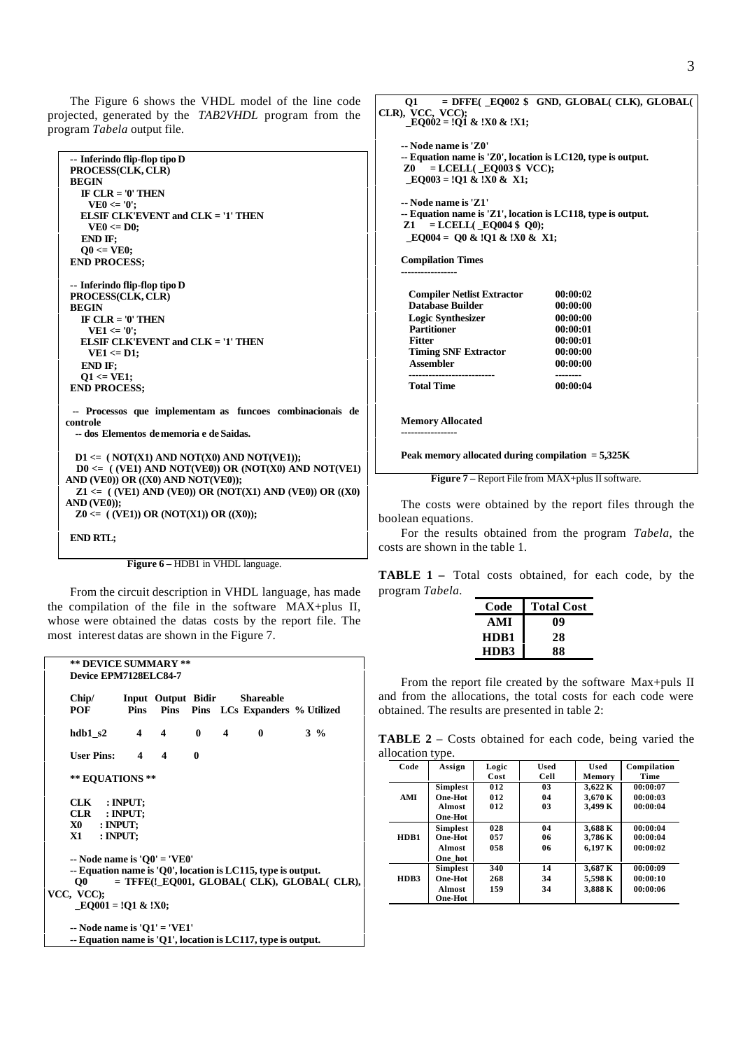The Figure 6 shows the VHDL model of the line code projected, generated by the *TAB2VHDL* program from the program *Tabela* output file.

| -- Inferindo flip-flop tipo D                               |
|-------------------------------------------------------------|
| PROCESS(CLK, CLR)                                           |
| <b>BEGIN</b>                                                |
| IF $CLR = '0'$ THEN                                         |
| $VE0 \le 0$                                                 |
| ELSIF CLK'EVENT and $CLK = '1'$ THEN                        |
| $VE0 \leq D0$ ;                                             |
| END IF:                                                     |
| $00 \leq VEO$                                               |
| <b>END PROCESS:</b>                                         |
|                                                             |
| -- Inferindo flip-flop tipo D                               |
| PROCESS(CLK, CLR)                                           |
| <b>BEGIN</b>                                                |
| IF $CLR = '0'$ THEN                                         |
| $VE1 \le 0$                                                 |
| ELSIF CLK'EVENT and $CLK = '1'$ THEN                        |
| $VE1 \leq D1$ :                                             |
| END IF:                                                     |
| $O1 \leq VE1$ ;                                             |
| <b>END PROCESS:</b>                                         |
|                                                             |
| -- Processos que implementam as funcoes combinacionais de   |
| controle                                                    |
| -- dos Elementos de memoria e de Saidas.                    |
|                                                             |
| $D1 \leq$ (NOT(X1) AND NOT(X0) AND NOT(VE1));               |
| $D0 \le (VE1)$ AND NOT(VE0)) OR (NOT(X0) AND NOT(VE1)       |
| AND (VE0)) OR $((X0)$ AND NOT(VE0));                        |
| $Z1 \leq$ ((VE1) AND (VE0)) OR (NOT(X1) AND (VE0)) OR ((X0) |
| $AND(VE0)$ :                                                |
| $Z0 \leq (VE1)$ OR (NOT(X1)) OR ((X0));                     |
|                                                             |
| <b>END RTL;</b>                                             |

Figure 6 – **HDB1** in VHDL language.

From the circuit description in VHDL language, has made the compilation of the file in the software MAX+plus II, whose were obtained the datas costs by the report file. The most interest datas are shown in the Figure 7.

| Chip/<br>POF                  |                                  |              | <b>Input Output Bidir Shareable</b><br>Pins Pins Pins LCs Expanders % Utilized                              |       |
|-------------------------------|----------------------------------|--------------|-------------------------------------------------------------------------------------------------------------|-------|
| hdb1s2                        | $4 \quad 4$                      | $0\quad 4$   | 0                                                                                                           | $3\%$ |
| User Pins: $4 \t 4$           |                                  | $\mathbf{0}$ |                                                                                                             |       |
| ** EQUATIONS **               |                                  |              |                                                                                                             |       |
| CLK : INPUT;                  |                                  |              |                                                                                                             |       |
| CLR : INPUT;<br>$X0$ : INPUT: |                                  |              |                                                                                                             |       |
| $X1$ : INPUT;                 |                                  |              |                                                                                                             |       |
|                               | $\sim$ Node name is 'O0' = 'VE0' |              | -- Equation name is 'Q0', location is LC115, type is output.<br>= TFFE(!_EQ001, GLOBAL( CLK), GLOBAL( CLR), |       |

| 01                                                                                                                                                            | $=$ DFFE( $\_$ EQ002 \$ GND, GLOBAL( $CLK$ ), GLOBAL( |
|---------------------------------------------------------------------------------------------------------------------------------------------------------------|-------------------------------------------------------|
| CLR), VCC, VCC);<br>$EQ002 = Q1 &$ & $X0 &$ $X1$ ;                                                                                                            |                                                       |
| -- Node name is 'Z0'<br>-- Equation name is 'Z0', location is LC120, type is output.<br>$=$ LCELL(E0003 \$ VCC);<br>Z0<br>$E0003 = 0.1 \& X10 \& X1;$         |                                                       |
| -- Node name is 'Z1'<br>-- Equation name is 'Z1', location is LC118, type is output.<br>$=$ LCELL( $\_$ EQ004 \$ Q0);<br>Z1 —<br>EO004 = O0 & !O1 & !X0 & X1; |                                                       |
| <b>Compilation Times</b><br>----------------                                                                                                                  |                                                       |
| <b>Compiler Netlist Extractor</b>                                                                                                                             | 00:00:02                                              |
| <b>Database Builder</b>                                                                                                                                       | 00:00:00                                              |
| <b>Logic Synthesizer</b><br><b>Partitioner</b>                                                                                                                | 00:00:00<br>00:00:01                                  |
| <b>Fitter</b>                                                                                                                                                 | 00:00:01                                              |
| <b>Timing SNF Extractor</b>                                                                                                                                   | 00:00:00                                              |
| <b>Assembler</b>                                                                                                                                              | 00:00:00                                              |
| --------------------------<br><b>Total Time</b>                                                                                                               | --------<br>00:00:04                                  |
| <b>Memory Allocated</b><br>------------                                                                                                                       |                                                       |
| Peak memory allocated during compilation $= 5,325K$                                                                                                           |                                                       |
| <b>Figure 7</b> – Report File from $MAX + plus II$ software.                                                                                                  |                                                       |

The costs were obtained by the report files through the boolean equations.

For the results obtained from the program *Tabela*, the costs are shown in the table 1.

**TABLE 1 –** Total costs obtained, for each code, by the program *Tabela.*

| Code | <b>Total Cost</b> |
|------|-------------------|
| AMI  | 09                |
| HDB1 | 28                |
| HDB3 | 88                |

From the report file created by the software Max+puls II and from the allocations, the total costs for each code were obtained. The results are presented in table 2:

**TABLE 2** – Costs obtained for each code, being varied the allocation type.

| Code | Assign          | Logic<br>Cost | <b>Used</b><br>Cell | <b>Used</b><br>Memory | Compilation<br>Time |
|------|-----------------|---------------|---------------------|-----------------------|---------------------|
|      | <b>Simplest</b> | 012           | 03                  | 3.622K                | 00:00:07            |
| AMI  | One-Hot         | 012           | 04                  | 3.670 K               | 00:00:03            |
|      | <b>Almost</b>   | 012           | 03                  | 3.499 K               | 00:00:04            |
|      | <b>One-Hot</b>  |               |                     |                       |                     |
|      | <b>Simplest</b> | 028           | 04                  | 3.688 K               | 00:00:04            |
| HDB1 | One-Hot         | 057           | 06                  | 3,786K                | 00:00:04            |
|      | <b>Almost</b>   | 058           | 06                  | 6.197 K               | 00:00:02            |
|      | One hot         |               |                     |                       |                     |
|      | <b>Simplest</b> | 340           | 14                  | 3,687 K               | 00:00:09            |
| HDB3 | One-Hot         | 268           | 34                  | 5.598 K               | 00:00:10            |
|      | <b>Almost</b>   | 159           | 34                  | 3.888 K               | 00:00:06            |
|      | <b>One-Hot</b>  |               |                     |                       |                     |